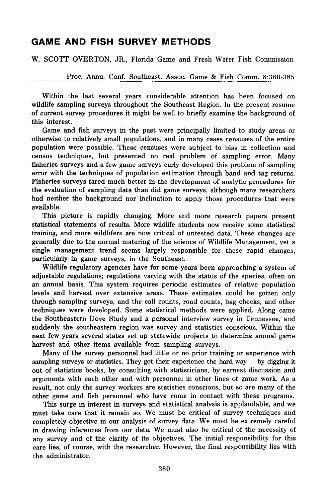# **GAME AND FISH SURVEY METHODS**

W. *SCOTT* OVERTON, JR., Florida Game and Fresh Water Fish Commission

Proc. Annu. *Coni.* Southeast. Assoc. Game & Fish Comm. 8:380-385

Within the last several years considerable attention has been focused on wildlife sampling surveys throughout the Southeast Region. In the present resume of current survey procedures it might be well to briefly examine the background of this interest.

Game and fish surveys in the past were principally limited to study areas or otherwise to relatively small populations, and in many cases censuses of the entire population were possible. These censuses were subject to bias in collection and census techniques, but presented no real problem of sampling error. Many fisheries surveys and a few game surveys early developed this problem of sampling error with the techniques of population estimation through band and tag returns. Fisheries surveys fared much better in the development of analytic procedures for the evaluation of sampling data than did game surveys, although many researchers had neither the background nor inclination to apply those procedures that were available.

This picture is rapidly changing. More and more research papers present statistical statements of results. More wildlife students now receive some statistical training, and more wildlifers are now critical of untested data. These changes are generally due to the normal maturing of the science of Wildlife Management, yet a single management trend seems largely responsible for these rapid changes, particularly in game surveys, in the Southeast.

Wildlife regulatory agencies have for some years been approaching a system of adjustable regulations; regulations varying with the status of the species, often on an annual basis. This system requires periodic estimates of relative population levels and harvest over extensive areas. These estimates could be gotten only through sampling surveys, and the call counts, road counts, bag checks, and other techniques were developed. Some statistical methods were applied. Along came the Southeastern Dove Study and a personal interview survey in Tennessee, and suddenly the southeastern region was survey and statistics conscious. Within the next few years several states set up statewide projects to determine annual game harvest and other items available from sampling surveys.

Many of the survey personnel had little or no prior training or experience with sampling surveys or statistics. They got their experience the hard way  $-$  by digging it out of statistics books, by consulting with statisticians, by earnest discussion and arguments with each other and with personnel in other lines of game work. As a result, not only the survey workers are statistics conscious, but so are many of the other game and fish personnel who have come in contact with these programs.

This surge in interest in surveys and statistical analysis is applaudable, and we must take care that it remain so. We must be critical of survey techniques and completely objective in our analysis of survey data. We must be extremely careful in drawing inferences from our data. We must also be critical of the necessity of any survey and of the clarity of its objectives. The initial responsibility for this care lies, of course, with the researcher. However, the final responsibility lies with the administrator.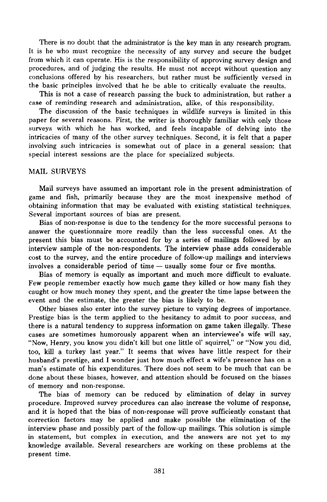There is no doubt that the administrator is the key man in any research program. It is he who must recognize the necessity of any survey and secure the budget from which it can operate. His is the responsibility of approving survey design and procedures, and of judging the results. He must not accept without question any conclusions offered by his researchers, but rather must be sufficiently versed in the basic principles involved that he be able to critically evaluate the results.

This is not a case of research passing the buck to administration, but rather a case of reminding research and administration, alike, of this responsibility.

The discussion of the basic techniques in wildlife surveys is limited in this paper for several reasons. First, the writer is thoroughly familiar with only those surveys with which he has worked, and feels incapable of delving into the intricacies of many of the other survey techniques. Second, it is felt that a paper involving such intricacies is somewhat out of place in a general session: that special interest sessions are the place for specialized subjects.

#### MAIL SURVEYS

Mail surveys have assumed an important role in the present administration of game and fish, primarily because they are the most inexpensive method of obtaining information that may be evaluated with existing statistical techniques. Several important sources of bias are present.

Bias of non-response is due to the tendency for the more successful persons to answer the questionnaire more readily than the less successful ones. At the present this bias must be accounted for by a series of mailings followed by an interview sample of the non-respondents. The interview phase adds considerable cost to the survey, and the entire procedure of follow-up mailings and interviews involves a considerable period of time  $-$  usually some four or five months.

Bias of memory is equally as important and much more difficult to evaluate. Few people remember exactly how much game they killed or how many fish they caught or how much money they spent, and the greater the time lapse between the event and the estimate, the greater the bias is likely to be.

Other biases also enter into the survey picture to varying degrees of importance. Prestige bias is the term applied to the hesitancy to admit to poor success, and there is a natural tendency to suppress information on game taken illegally. These cases are sometimes humorously apparent when an interviewee's wife will say, "Now, Henry, you know you didn't kill but one little 01' squirrel," or "Now you did, too, kill a turkey last year." It seems that wives have little respect for their husband's prestige, and I wonder just how much effect a wife's presence has on a man's estimate of his expenditures. There does not seem to be much that can be done about these biases, however, and attention should be focused on the biases of memory and non-response.

The bias of memory can be reduced by elimination of delay in survey procedure. Improved survey procedures can also increase the volume of response, and it is hoped that the bias of non-response will prove sufficiently constant that correction factors may be applied and make possible the elimination of the interview phase and possibly part of the follow-up mailings. This solution is simple in statement, but complex in execution, and the answers are not yet to my knowledge available. Several researchers are working on these problems at the present time.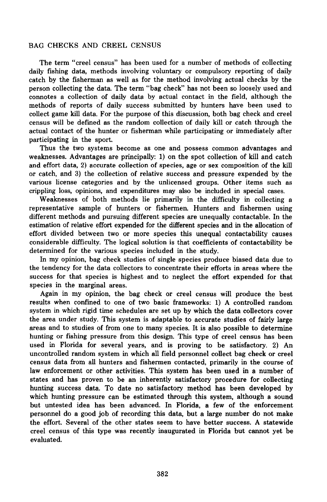## BAG CHECKS AND CREEL CENSUS

The term "creel census" has been used for a number of methods of collecting daily fishing data, methods involving voluntary or compulsory reporting of daily catch by the fisherman as well as for the method involving actual checks by the person collecting the data. The term "bag check" has not been so loosely used and connotes a collection of daily data by actual contact in the field, although the methods of reports of daily success submitted by hunters have been used to collect game kill data. For the purpose of this discussion, both bag check and creel census will be defined as the random collection of daily kill or catch through the actual contact of the hunter or fisherman while participating or immediately after participating in the sport.

Thus the two systems become as one and possess common advantages and weaknesses. Advantages are principally: 1) on the spot collection of kill and catch and effort data, 2) accurate collection of species, age or sex composition of the kill or catch, and 3) the collection of relative success and pressure expended by the various license categories and by the unlicensed groups. Other items such as crippling loss, opinions, and expenditures may also be included in special cases.

Weaknesses of both methods lie primarily in the difficulty in collecting a representative sample of hunters or fishermen. Hunters and fishermen using different methods and pursuing different species are unequally contactable. In the estimation of relative effort expended for the different species and in the allocation of effort divided between two or more species this unequal contactability causes considerable difficulty. The logical solution is that coefficients of contactability be determined for the various species included in the study.

In my opinion, bag check studies of single species produce biased data due to the tendency for the data collectors to concentrate their efforts in areas where the success for that species is highest and to neglect the effort expended for that species in the marginal areas.

Again in my opinion, the bag check or creel census will produce the best results when confined to one of two basic frameworks: 1) A controlled random system in which rigid time schedules are set up by which the data collectors cover the area under study. This system is adaptable to accurate studies of fairly large areas and to studies of from one to many species. It is also possible to determine hunting or fishing pressure from this design. This type of creel census has been used in Florida for several years, and is proving to be satisfactory. 2) An uncontrolled random system in which all field personnel collect bag check or creel census data from all hunters and fishermen contacted, primarily in the course of law enforcement or other activities. This system has been used in a number of states and has proven to be an inherently satisfactory procedure for collecting hunting success data. To date no satisfactory method has been developed by which hunting pressure can be estimated through this system, although a sound but untested idea has been advanced. In Florida, a few of the enforcement personnel do a good job of recording this data, but a large number do not make the effort. Several of the other states seem to have better success. A statewide creel census of this type was recently inaugurated in Florida but cannot yet be evaluated.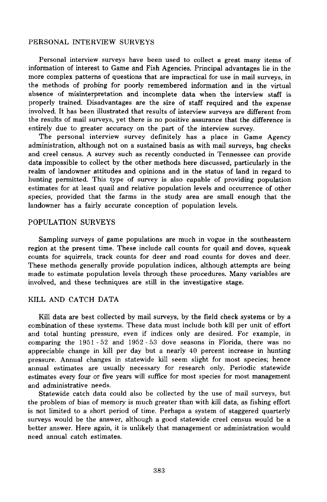# PERSONAL INTERVIEW SURVEYS

Personal interview surveys have been used to collect a great many items of information of interest to Game and Fish Agencies. Principal advantages lie in the more complex patterns of questions that are impractical for use in mail surveys, in the methods of probing for poorly remembered information and in the virtual absence of misinterpretation and incomplete data when the interview staff is properly trained. Disadvantages are the size of staff required and the expense involved. It has been illustrated that results of interview surveys are different from the results of mail surveys, yet there is no positive assurance that the difference is entirely due to greater accuracy on the part of the interview survey.

The personal interview survey definitely has a place in Game Agency administration, although not on a sustained basis as with mail surveys, bag checks and creel census. A survey such as recently conducted in Tennessee can provide data impossible to collect by the other methods here discussed, particularly in the realm of landowner attitudes and opinions and in the status of land in regard to hunting permitted. This type of survey is also capable of providing population estimates for at least quail and relative population levels and occurrence of other species, provided that the farms in the study area are small enough that the landowner has a fairly accurate conception of population levels.

## POPULATION SURVEYS

Sampling surveys of game populations are much in vogue in the southeastern region at the present time. These include call counts for quail and doves, squeak counts for squirrels, track counts for deer and road counts for doves and deer. These methods generally provide population indices, although attempts are being made to estimate population levels through these procedures. Many variables are involved, and these techniques are still in the investigative stage.

## KILL AND CATCH DATA

Kill data are best collected by mail surveys, by the field check systems or by a combination of these systems. These data must include both kill per unit of effort and total hunting pressure, even if indices only are desired. For example, in comparing the 1951 - 52 and 1952 - 53 dove seasons in Florida, there was no appreciable change in kill per day but a nearly 40 percent increase in hunting pressure. Annual changes in statewide kill seem slight for most species; hence annual estimates are usually necessary for research only. Periodic statewide estimates every four or five years will suffice for most species for most management and administrative needs.

Statewide catch data could also be collected by the use of mail surveys, but the problem of bias of memory is much greater than with kill data, as fishing effort is not limited to a short period of time. Perhaps a system of staggered quarterly surveys would be the answer, although a good statewide creel census would be a better answer. Here again, it is unlikely that management or administration would need annual catch estimates.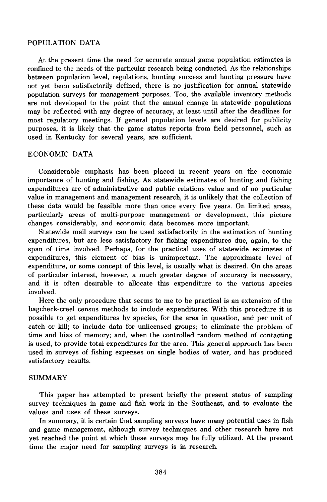## POPULATION DATA

At the present time the need for accurate annual game population estimates is confmed to the needs of the particular research being conducted. As the relationships between population level, regulations, hunting success and hunting pressure have not yet been satisfactorily defined, there is no justification for annual statewide population surveys for management purposes. Too, the available inventory methods are not developed to the point that the annual change in statewide populations may be reflected with any degree of accuracy, at least until after the deadlines for most regulatory meetings. If general population levels are desired for publicity purposes, it is likely that the game status reports from field personnel, such as used in Kentucky for several years, are sufficient.

## ECONOMIC DATA

Considerable emphasis has been placed in recent years on the economic importance of hunting and fishing. As statewide estimates of hunting and fishing expenditures are of administrative and public relations value and of no particular value in management and management research, it is unlikely that the collection of these data would be feasible more than once every five years. On limited areas, particularly areas of multi-purpose management or development, this picture changes considerably, and economic data becomes more important.

Statewide mail surveys can be used satisfactorily in the estimation of hunting expenditures, but are less satisfactory for fishing expenditures due, again, to the span of time involved. Perhaps, for the practical uses of statewide estimates of expenditures, this element of bias is unimportant. The approximate level of expenditure, or some concept of this level, is usually what is desired. On the areas of particular interest, however, a much greater degree of accuracy is necessary, and it is often desirable to allocate this expenditure to the various species involved.

Here the only procedure that seems to me to be practical is an extension of the bagcheck-creel census methods to include expenditures. With this procedure it is possible to get expenditures by species, for the area in question, and per unit of catch or kill; to include data for unlicensed groups; to eliminate the problem of time and bias of memory; and, when the controlled random method of contacting is used, to provide total expenditures for the area. This general approach has been used in surveys of fishing expenses on single bodies of water, and has produced satisfactory results.

#### SUMMARY

This paper has attempted to present briefly the present status of sampling survey techniques in game and fish work in the Southeast, and to evaluate the values and uses of these surveys.

In summary, it is certain that sampling surveys have many potential uses in fish and game management, although survey techniques and other research have not yet reached the point at which these surveys may be fully utilized. At the present time the major need for sampling surveys is in research.